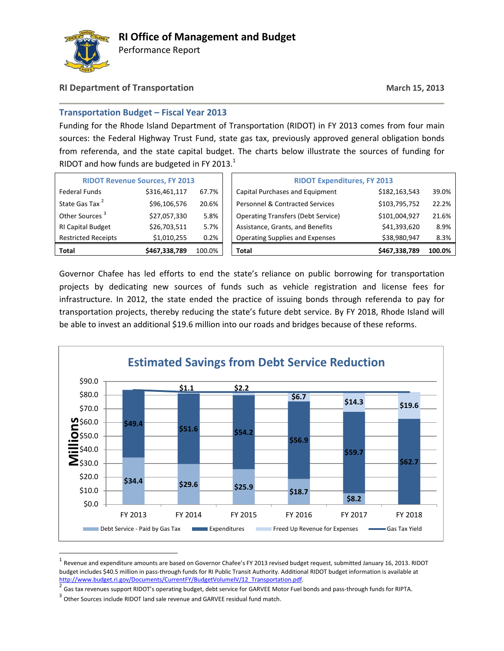

Performance Report

## **RI Department of Transportation March 15, 2013**

## **Transportation Budget – Fiscal Year 2013**

Funding for the Rhode Island Department of Transportation (RIDOT) in FY 2013 comes from four main sources: the Federal Highway Trust Fund, state gas tax, previously approved general obligation bonds from referenda, and the state capital budget. The charts below illustrate the sources of funding for RIDOT and how funds are budgeted in FY 2013. $1$ 

| <b>RIDOT Revenue Sources, FY 2013</b> |               |        |  | <b>RIDOT Expenditures, FY 2013</b>        |               |        |
|---------------------------------------|---------------|--------|--|-------------------------------------------|---------------|--------|
| <b>Federal Funds</b>                  | \$316,461,117 | 67.7%  |  | Capital Purchases and Equipment           | \$182,163,543 | 39.0%  |
| State Gas Tax <sup>2</sup>            | \$96,106,576  | 20.6%  |  | Personnel & Contracted Services           | \$103,795,752 | 22.2%  |
| Other Sources <sup>3</sup>            | \$27,057,330  | 5.8%   |  | <b>Operating Transfers (Debt Service)</b> | \$101,004,927 | 21.6%  |
| <b>RI Capital Budget</b>              | \$26,703,511  | 5.7%   |  | Assistance, Grants, and Benefits          | \$41,393,620  | 8.9%   |
| <b>Restricted Receipts</b>            | \$1,010,255   | 0.2%   |  | <b>Operating Supplies and Expenses</b>    | \$38,980,947  | 8.3%   |
| Total                                 | \$467,338,789 | 100.0% |  | <b>Total</b>                              | \$467,338,789 | 100.0% |

Governor Chafee has led efforts to end the state's reliance on public borrowing for transportation projects by dedicating new sources of funds such as vehicle registration and license fees for infrastructure. In 2012, the state ended the practice of issuing bonds through referenda to pay for transportation projects, thereby reducing the state's future debt service. By FY 2018, Rhode Island will be able to invest an additional \$19.6 million into our roads and bridges because of these reforms.



 $^{\rm 1}$  Revenue and expenditure amounts are based on Governor Chafee's FY 2013 revised budget request, submitted January 16, 2013. RIDOT budget includes \$40.5 million in pass-through funds for RI Public Transit Authority. Additional RIDOT budget information is available at [http://www.budget.ri.gov/Documents/CurrentFY/BudgetVolumeIV/12\\_Transportation.pdf.](http://www.budget.ri.gov/Documents/CurrentFY/BudgetVolumeIV/12_Transportation.pdf) 

<sup>2</sup> Gas tax revenues support RIDOT's operating budget, debt service for GARVEE Motor Fuel bonds and pass-through funds for RIPTA.

 $3$  Other Sources include RIDOT land sale revenue and GARVEE residual fund match.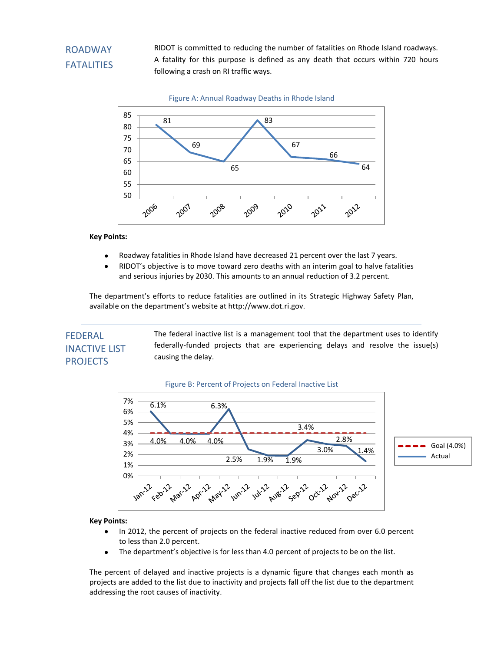# ROADWAY FATALITIES

RIDOT is committed to reducing the number of fatalities on Rhode Island roadways. A fatality for this purpose is defined as any death that occurs within 720 hours following a crash on RI traffic ways.



**Key Points:**

- $\bullet$ Roadway fatalities in Rhode Island have decreased 21 percent over the last 7 years.
- RIDOT's objective is to move toward zero deaths with an interim goal to halve fatalities  $\bullet$ and serious injuries by 2030. This amounts to an annual reduction of 3.2 percent.

The department's efforts to reduce fatalities are outlined in its Strategic Highway Safety Plan, available on the department's website at http://www.dot.ri.gov.

# FEDERAL INACTIVE LIST PROJECTS

The federal inactive list is a management tool that the department uses to identify federally-funded projects that are experiencing delays and resolve the issue(s) causing the delay.

## Figure B: Percent of Projects on Federal Inactive List



## **Key Points:**

- In 2012, the percent of projects on the federal inactive reduced from over 6.0 percent  $\bullet$ to less than 2.0 percent.
- The department's objective is for less than 4.0 percent of projects to be on the list.  $\bullet$

The percent of delayed and inactive projects is a dynamic figure that changes each month as projects are added to the list due to inactivity and projects fall off the list due to the department addressing the root causes of inactivity.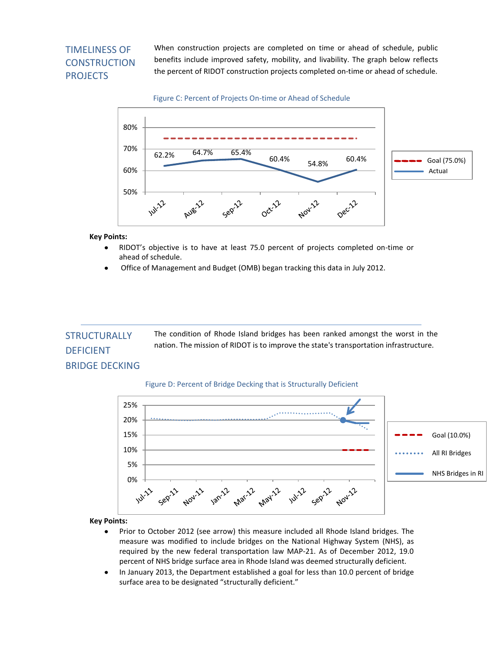# TIMELINESS OF **CONSTRUCTION PROJECTS**

When construction projects are completed on time or ahead of schedule, public benefits include improved safety, mobility, and livability. The graph below reflects the percent of RIDOT construction projects completed on-time or ahead of schedule.

Figure C: Percent of Projects On-time or Ahead of Schedule



## **Key Points:**

- $\bullet$ RIDOT's objective is to have at least 75.0 percent of projects completed on-time or ahead of schedule.
- Office of Management and Budget (OMB) began tracking this data in July 2012.

The condition of Rhode Island bridges has been ranked amongst the worst in the nation. The mission of RIDOT is to improve the state's transportation infrastructure. **STRUCTURALLY** 

# BRIDGE DECKING

DEFICIENT

## Figure D: Percent of Bridge Decking that is Structurally Deficient



**Key Points:**

- Prior to October 2012 (see arrow) this measure included all Rhode Island bridges. The  $\bullet$ measure was modified to include bridges on the National Highway System (NHS), as required by the new federal transportation law MAP-21. As of December 2012, 19.0 percent of NHS bridge surface area in Rhode Island was deemed structurally deficient.
- In January 2013, the Department established a goal for less than 10.0 percent of bridge  $\bullet$ surface area to be designated "structurally deficient."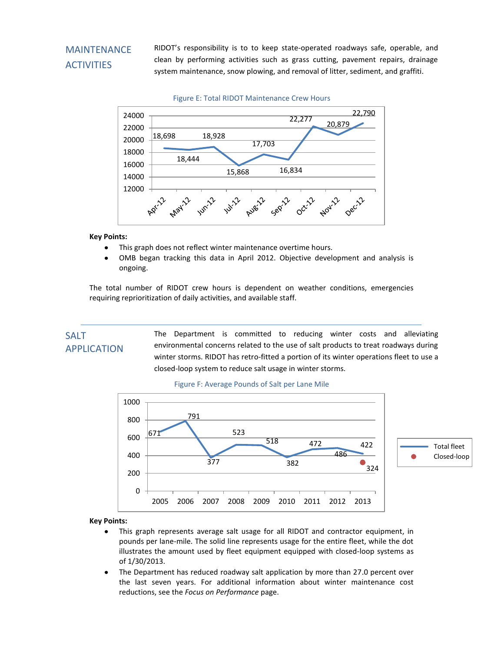# MAINTENANCE **ACTIVITIES**

RIDOT's responsibility is to to keep state-operated roadways safe, operable, and clean by performing activities such as grass cutting, pavement repairs, drainage system maintenance, snow plowing, and removal of litter, sediment, and graffiti.



Figure E: Total RIDOT Maintenance Crew Hours

# **Key Points:**

- This graph does not reflect winter maintenance overtime hours.  $\bullet$
- OMB began tracking this data in April 2012. Objective development and analysis is ongoing.

The total number of RIDOT crew hours is dependent on weather conditions, emergencies requiring reprioritization of daily activities, and available staff.

# SALT APPLICATION

The Department is committed to reducing winter costs and alleviating environmental concerns related to the use of salt products to treat roadways during winter storms. RIDOT has retro-fitted a portion of its winter operations fleet to use a closed-loop system to reduce salt usage in winter storms.



#### Figure F: Average Pounds of Salt per Lane Mile

**Key Points:**

- $\bullet$ This graph represents average salt usage for all RIDOT and contractor equipment, in pounds per lane-mile. The solid line represents usage for the entire fleet, while the dot illustrates the amount used by fleet equipment equipped with closed-loop systems as of 1/30/2013.
- The Department has reduced roadway salt application by more than 27.0 percent over  $\bullet$ the last seven years. For additional information about winter maintenance cost reductions, see the *Focus on Performance* page.